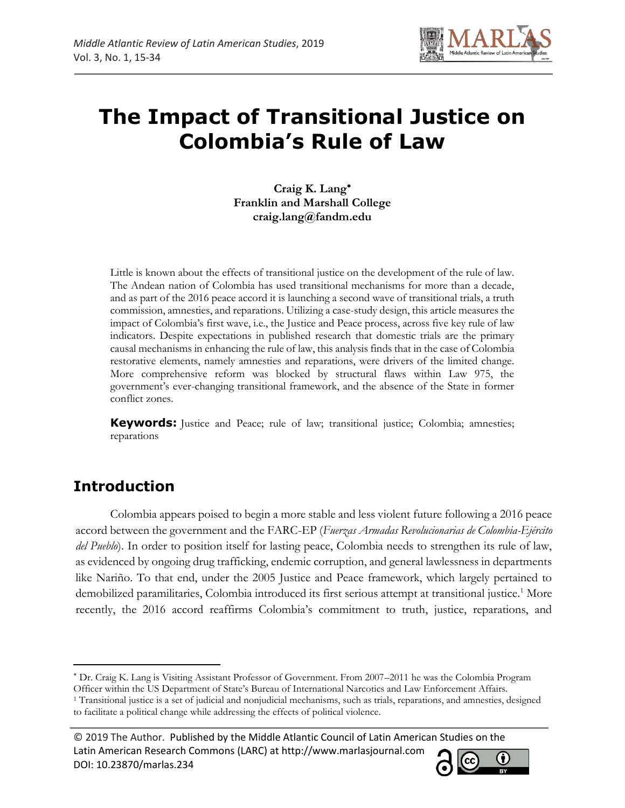

**Craig K. Lang Franklin and Marshall College craig.lang@fandm.edu**

Little is known about the effects of transitional justice on the development of the rule of law. The Andean nation of Colombia has used transitional mechanisms for more than a decade, and as part of the 2016 peace accord it is launching a second wave of transitional trials, a truth commission, amnesties, and reparations. Utilizing a case-study design, this article measures the impact of Colombia's first wave, i.e., the Justice and Peace process, across five key rule of law indicators. Despite expectations in published research that domestic trials are the primary causal mechanisms in enhancing the rule of law, this analysis finds that in the case of Colombia restorative elements, namely amnesties and reparations, were drivers of the limited change. More comprehensive reform was blocked by structural flaws within Law 975, the government's ever-changing transitional framework, and the absence of the State in former conflict zones.

**Keywords:** Justice and Peace; rule of law; transitional justice; Colombia; amnesties; reparations

# **Introduction**

l

Colombia appears poised to begin a more stable and less violent future following a 2016 peace accord between the government and the FARC-EP (*Fuerzas Armadas Revolucionarias de Colombia-Ejército del Pueblo*). In order to position itself for lasting peace, Colombia needs to strengthen its rule of law, as evidenced by ongoing drug trafficking, endemic corruption, and general lawlessness in departments like Nariño. To that end, under the 2005 Justice and Peace framework, which largely pertained to demobilized paramilitaries, Colombia introduced its first serious attempt at transitional justice.<sup>1</sup> More recently, the 2016 accord reaffirms Colombia's commitment to truth, justice, reparations, and

Dr. Craig K. Lang is Visiting Assistant Professor of Government. From 2007–2011 he was the Colombia Program

© 2019 The Author. Published by the Middle Atlantic Council of Latin American Studies on the Latin American Research Commons (LARC) at http://www.marlasjournal.com **CC** DOI: [10.23870/marlas.234](https://doi.org/10.23870/marlas.234)



Officer within the US Department of State's Bureau of International Narcotics and Law Enforcement Affairs.

<sup>1</sup> Transitional justice is a set of judicial and nonjudicial mechanisms, such as trials, reparations, and amnesties, designed to facilitate a political change while addressing the effects of political violence.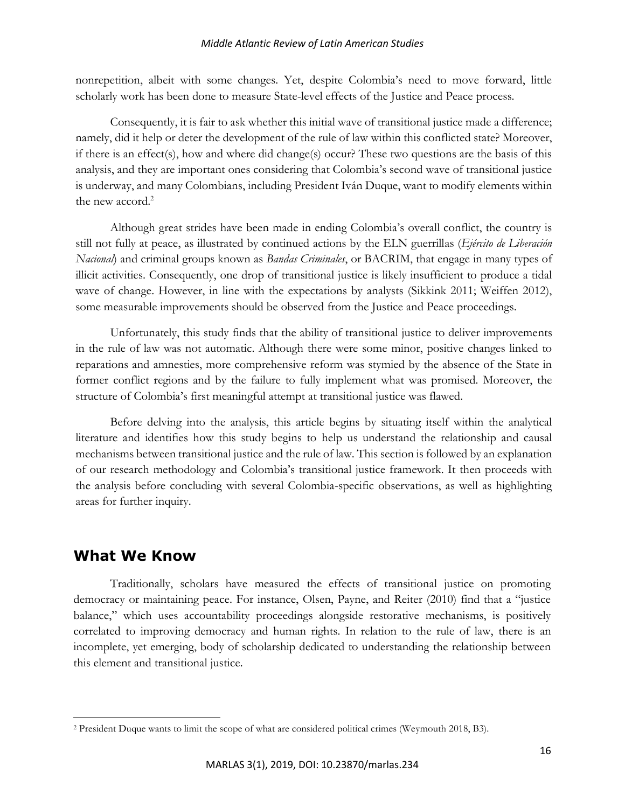nonrepetition, albeit with some changes. Yet, despite Colombia's need to move forward, little scholarly work has been done to measure State-level effects of the Justice and Peace process.

Consequently, it is fair to ask whether this initial wave of transitional justice made a difference; namely, did it help or deter the development of the rule of law within this conflicted state? Moreover, if there is an effect(s), how and where did change(s) occur? These two questions are the basis of this analysis, and they are important ones considering that Colombia's second wave of transitional justice is underway, and many Colombians, including President Iván Duque, want to modify elements within the new accord.<sup>2</sup>

Although great strides have been made in ending Colombia's overall conflict, the country is still not fully at peace, as illustrated by continued actions by the ELN guerrillas (*Ejército de Liberación Nacional*) and criminal groups known as *Bandas Criminales*, or BACRIM, that engage in many types of illicit activities. Consequently, one drop of transitional justice is likely insufficient to produce a tidal wave of change. However, in line with the expectations by analysts (Sikkink 2011; Weiffen 2012), some measurable improvements should be observed from the Justice and Peace proceedings.

Unfortunately, this study finds that the ability of transitional justice to deliver improvements in the rule of law was not automatic. Although there were some minor, positive changes linked to reparations and amnesties, more comprehensive reform was stymied by the absence of the State in former conflict regions and by the failure to fully implement what was promised. Moreover, the structure of Colombia's first meaningful attempt at transitional justice was flawed.

Before delving into the analysis, this article begins by situating itself within the analytical literature and identifies how this study begins to help us understand the relationship and causal mechanisms between transitional justice and the rule of law. This section is followed by an explanation of our research methodology and Colombia's transitional justice framework. It then proceeds with the analysis before concluding with several Colombia-specific observations, as well as highlighting areas for further inquiry.

# **What We Know**

 $\overline{\phantom{a}}$ 

Traditionally, scholars have measured the effects of transitional justice on promoting democracy or maintaining peace. For instance, Olsen, Payne, and Reiter (2010) find that a "justice balance," which uses accountability proceedings alongside restorative mechanisms, is positively correlated to improving democracy and human rights. In relation to the rule of law, there is an incomplete, yet emerging, body of scholarship dedicated to understanding the relationship between this element and transitional justice.

<sup>2</sup> President Duque wants to limit the scope of what are considered political crimes (Weymouth 2018, B3).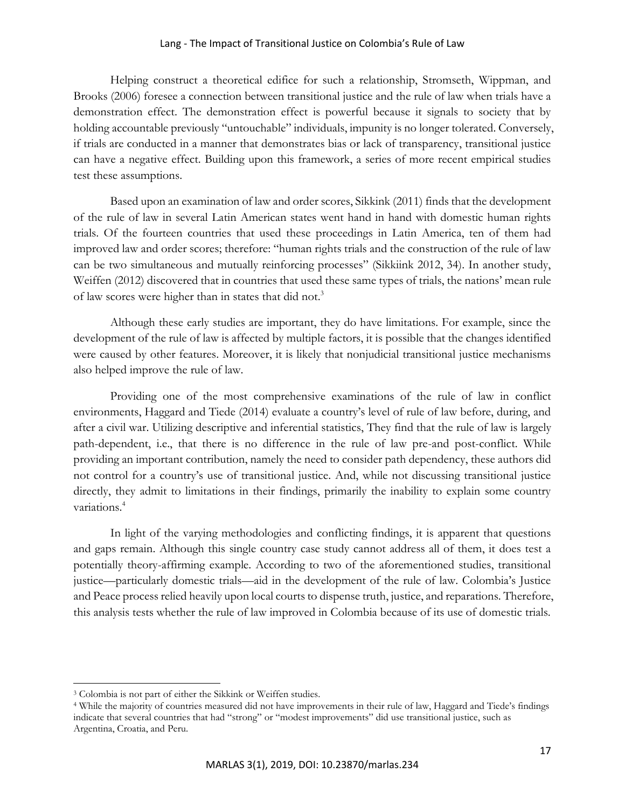Helping construct a theoretical edifice for such a relationship, Stromseth, Wippman, and Brooks (2006) foresee a connection between transitional justice and the rule of law when trials have a demonstration effect. The demonstration effect is powerful because it signals to society that by holding accountable previously "untouchable" individuals, impunity is no longer tolerated. Conversely, if trials are conducted in a manner that demonstrates bias or lack of transparency, transitional justice can have a negative effect. Building upon this framework, a series of more recent empirical studies test these assumptions.

Based upon an examination of law and order scores, Sikkink (2011) finds that the development of the rule of law in several Latin American states went hand in hand with domestic human rights trials. Of the fourteen countries that used these proceedings in Latin America, ten of them had improved law and order scores; therefore: "human rights trials and the construction of the rule of law can be two simultaneous and mutually reinforcing processes" (Sikkiink 2012, 34). In another study, Weiffen (2012) discovered that in countries that used these same types of trials, the nations' mean rule of law scores were higher than in states that did not.<sup>3</sup>

Although these early studies are important, they do have limitations. For example, since the development of the rule of law is affected by multiple factors, it is possible that the changes identified were caused by other features. Moreover, it is likely that nonjudicial transitional justice mechanisms also helped improve the rule of law.

Providing one of the most comprehensive examinations of the rule of law in conflict environments, Haggard and Tiede (2014) evaluate a country's level of rule of law before, during, and after a civil war. Utilizing descriptive and inferential statistics, They find that the rule of law is largely path-dependent, i.e., that there is no difference in the rule of law pre-and post-conflict. While providing an important contribution, namely the need to consider path dependency, these authors did not control for a country's use of transitional justice. And, while not discussing transitional justice directly, they admit to limitations in their findings, primarily the inability to explain some country variations.<sup>4</sup>

In light of the varying methodologies and conflicting findings, it is apparent that questions and gaps remain. Although this single country case study cannot address all of them, it does test a potentially theory-affirming example. According to two of the aforementioned studies, transitional justice—particularly domestic trials—aid in the development of the rule of law. Colombia's Justice and Peace process relied heavily upon local courts to dispense truth, justice, and reparations. Therefore, this analysis tests whether the rule of law improved in Colombia because of its use of domestic trials.

<sup>3</sup> Colombia is not part of either the Sikkink or Weiffen studies.

<sup>4</sup> While the majority of countries measured did not have improvements in their rule of law, Haggard and Tiede's findings indicate that several countries that had "strong" or "modest improvements" did use transitional justice, such as Argentina, Croatia, and Peru.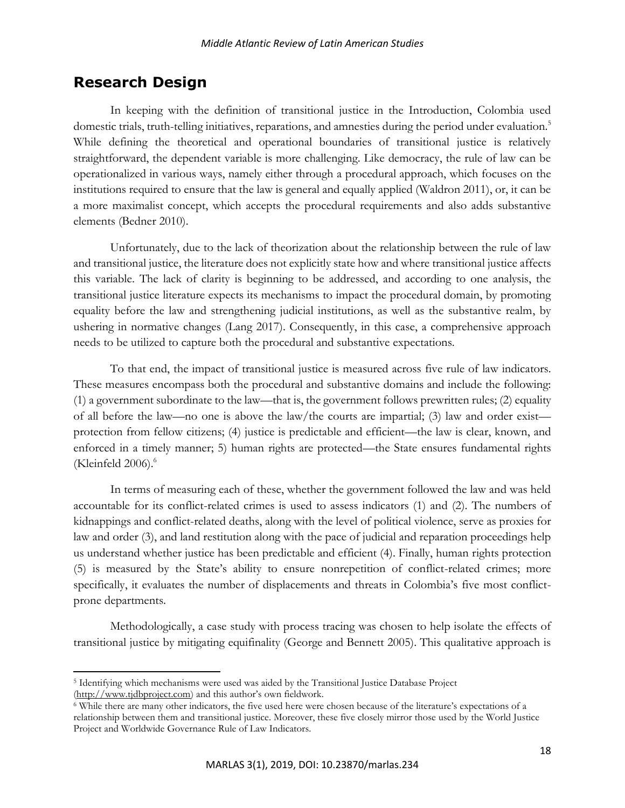# **Research Design**

 $\overline{\phantom{a}}$ 

In keeping with the definition of transitional justice in the Introduction, Colombia used domestic trials, truth-telling initiatives, reparations, and amnesties during the period under evaluation.<sup>5</sup> While defining the theoretical and operational boundaries of transitional justice is relatively straightforward, the dependent variable is more challenging. Like democracy, the rule of law can be operationalized in various ways, namely either through a procedural approach, which focuses on the institutions required to ensure that the law is general and equally applied (Waldron 2011), or, it can be a more maximalist concept, which accepts the procedural requirements and also adds substantive elements (Bedner 2010).

Unfortunately, due to the lack of theorization about the relationship between the rule of law and transitional justice, the literature does not explicitly state how and where transitional justice affects this variable. The lack of clarity is beginning to be addressed, and according to one analysis, the transitional justice literature expects its mechanisms to impact the procedural domain, by promoting equality before the law and strengthening judicial institutions, as well as the substantive realm, by ushering in normative changes (Lang 2017). Consequently, in this case, a comprehensive approach needs to be utilized to capture both the procedural and substantive expectations.

To that end, the impact of transitional justice is measured across five rule of law indicators. These measures encompass both the procedural and substantive domains and include the following: (1) a government subordinate to the law—that is, the government follows prewritten rules; (2) equality of all before the law—no one is above the law/the courts are impartial; (3) law and order exist protection from fellow citizens; (4) justice is predictable and efficient—the law is clear, known, and enforced in a timely manner; 5) human rights are protected—the State ensures fundamental rights (Kleinfeld  $2006$ ). $<sup>6</sup>$ </sup>

In terms of measuring each of these, whether the government followed the law and was held accountable for its conflict-related crimes is used to assess indicators (1) and (2). The numbers of kidnappings and conflict-related deaths, along with the level of political violence, serve as proxies for law and order (3), and land restitution along with the pace of judicial and reparation proceedings help us understand whether justice has been predictable and efficient (4). Finally, human rights protection (5) is measured by the State's ability to ensure nonrepetition of conflict-related crimes; more specifically, it evaluates the number of displacements and threats in Colombia's five most conflictprone departments.

Methodologically, a case study with process tracing was chosen to help isolate the effects of transitional justice by mitigating equifinality (George and Bennett 2005). This qualitative approach is

<sup>5</sup> Identifying which mechanisms were used was aided by the Transitional Justice Database Project [\(http://www.tjdbproject.com](http://www.tjdbproject.com/)) and this author's own fieldwork.

<sup>6</sup> While there are many other indicators, the five used here were chosen because of the literature's expectations of a relationship between them and transitional justice. Moreover, these five closely mirror those used by the World Justice Project and Worldwide Governance Rule of Law Indicators.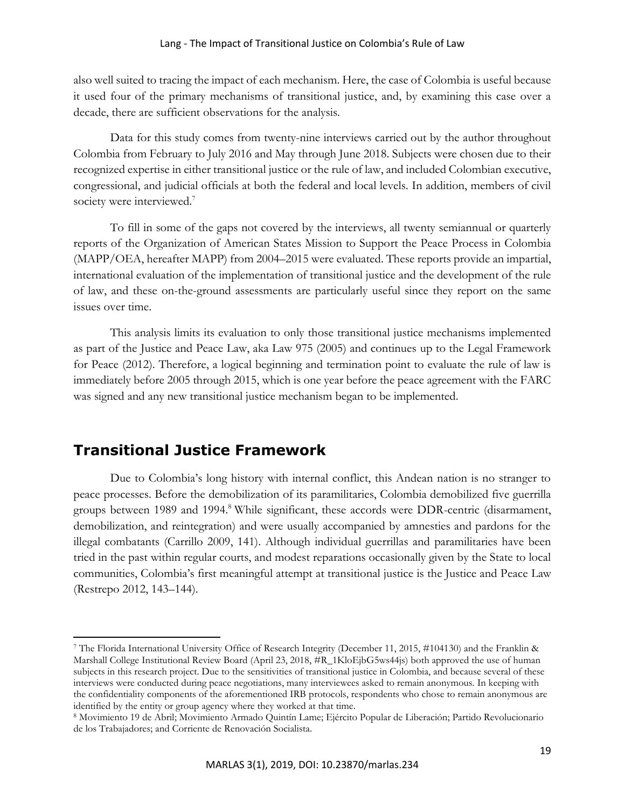also well suited to tracing the impact of each mechanism. Here, the case of Colombia is useful because it used four of the primary mechanisms of transitional justice, and, by examining this case over a decade, there are sufficient observations for the analysis.

Data for this study comes from twenty-nine interviews carried out by the author throughout Colombia from February to July 2016 and May through June 2018. Subjects were chosen due to their recognized expertise in either transitional justice or the rule of law, and included Colombian executive, congressional, and judicial officials at both the federal and local levels. In addition, members of civil society were interviewed.<sup>7</sup>

To fill in some of the gaps not covered by the interviews, all twenty semiannual or quarterly reports of the Organization of American States Mission to Support the Peace Process in Colombia (MAPP/OEA, hereafter MAPP) from 2004–2015 were evaluated. These reports provide an impartial, international evaluation of the implementation of transitional justice and the development of the rule of law, and these on-the-ground assessments are particularly useful since they report on the same issues over time.

This analysis limits its evaluation to only those transitional justice mechanisms implemented as part of the Justice and Peace Law, aka Law 975 (2005) and continues up to the Legal Framework for Peace (2012). Therefore, a logical beginning and termination point to evaluate the rule of law is immediately before 2005 through 2015, which is one year before the peace agreement with the FARC was signed and any new transitional justice mechanism began to be implemented.

# **Transitional Justice Framework**

 $\overline{\phantom{a}}$ 

Due to Colombia's long history with internal conflict, this Andean nation is no stranger to peace processes. Before the demobilization of its paramilitaries, Colombia demobilized five guerrilla groups between 1989 and 1994.<sup>8</sup> While significant, these accords were DDR-centric (disarmament, demobilization, and reintegration) and were usually accompanied by amnesties and pardons for the illegal combatants (Carrillo 2009, 141). Although individual guerrillas and paramilitaries have been tried in the past within regular courts, and modest reparations occasionally given by the State to local communities, Colombia's first meaningful attempt at transitional justice is the Justice and Peace Law (Restrepo 2012, 143–144).

<sup>7</sup> The Florida International University Office of Research Integrity (December 11, 2015, #104130) and the Franklin & Marshall College Institutional Review Board (April 23, 2018, #R\_1KloEjbG5ws44js) both approved the use of human subjects in this research project. Due to the sensitivities of transitional justice in Colombia, and because several of these interviews were conducted during peace negotiations, many interviewees asked to remain anonymous. In keeping with the confidentiality components of the aforementioned IRB protocols, respondents who chose to remain anonymous are identified by the entity or group agency where they worked at that time.

<sup>8</sup> Movimiento 19 de Abril; Movimiento Armado Quintín Lame; Ejército Popular de Liberación; Partido Revolucionario de los Trabajadores; and Corriente de Renovación Socialista.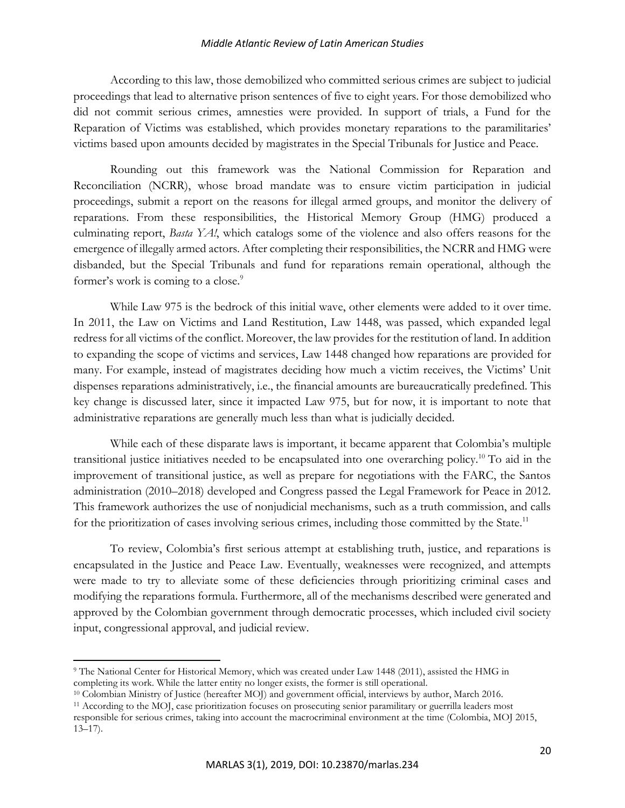According to this law, those demobilized who committed serious crimes are subject to judicial proceedings that lead to alternative prison sentences of five to eight years. For those demobilized who did not commit serious crimes, amnesties were provided. In support of trials, a Fund for the Reparation of Victims was established, which provides monetary reparations to the paramilitaries' victims based upon amounts decided by magistrates in the Special Tribunals for Justice and Peace.

Rounding out this framework was the National Commission for Reparation and Reconciliation (NCRR), whose broad mandate was to ensure victim participation in judicial proceedings, submit a report on the reasons for illegal armed groups, and monitor the delivery of reparations. From these responsibilities, the Historical Memory Group (HMG) produced a culminating report, *Basta YA!*, which catalogs some of the violence and also offers reasons for the emergence of illegally armed actors. After completing their responsibilities, the NCRR and HMG were disbanded, but the Special Tribunals and fund for reparations remain operational, although the former's work is coming to a close.<sup>9</sup>

While Law 975 is the bedrock of this initial wave, other elements were added to it over time. In 2011, the Law on Victims and Land Restitution, Law 1448, was passed, which expanded legal redress for all victims of the conflict. Moreover, the law provides for the restitution of land. In addition to expanding the scope of victims and services, Law 1448 changed how reparations are provided for many. For example, instead of magistrates deciding how much a victim receives, the Victims' Unit dispenses reparations administratively, i.e., the financial amounts are bureaucratically predefined. This key change is discussed later, since it impacted Law 975, but for now, it is important to note that administrative reparations are generally much less than what is judicially decided.

While each of these disparate laws is important, it became apparent that Colombia's multiple transitional justice initiatives needed to be encapsulated into one overarching policy.<sup>10</sup> To aid in the improvement of transitional justice, as well as prepare for negotiations with the FARC, the Santos administration (2010–2018) developed and Congress passed the Legal Framework for Peace in 2012. This framework authorizes the use of nonjudicial mechanisms, such as a truth commission, and calls for the prioritization of cases involving serious crimes, including those committed by the State.<sup>11</sup>

To review, Colombia's first serious attempt at establishing truth, justice, and reparations is encapsulated in the Justice and Peace Law. Eventually, weaknesses were recognized, and attempts were made to try to alleviate some of these deficiencies through prioritizing criminal cases and modifying the reparations formula. Furthermore, all of the mechanisms described were generated and approved by the Colombian government through democratic processes, which included civil society input, congressional approval, and judicial review.

<sup>9</sup> The National Center for Historical Memory, which was created under Law 1448 (2011), assisted the HMG in completing its work. While the latter entity no longer exists, the former is still operational.

<sup>10</sup> Colombian Ministry of Justice (hereafter MOJ) and government official, interviews by author, March 2016.

<sup>11</sup> According to the MOJ, case prioritization focuses on prosecuting senior paramilitary or guerrilla leaders most responsible for serious crimes, taking into account the macrocriminal environment at the time (Colombia, MOJ 2015,  $13-17$ ).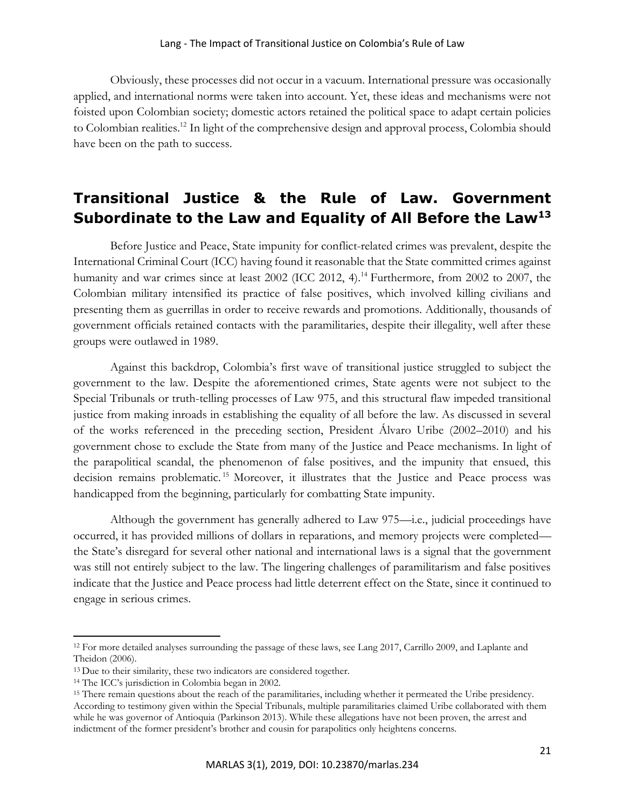Obviously, these processes did not occur in a vacuum. International pressure was occasionally applied, and international norms were taken into account. Yet, these ideas and mechanisms were not foisted upon Colombian society; domestic actors retained the political space to adapt certain policies to Colombian realities.<sup>12</sup> In light of the comprehensive design and approval process, Colombia should have been on the path to success.

# **Transitional Justice & the Rule of Law. Government Subordinate to the Law and Equality of All Before the Law<sup>13</sup>**

Before Justice and Peace, State impunity for conflict-related crimes was prevalent, despite the International Criminal Court (ICC) having found it reasonable that the State committed crimes against humanity and war crimes since at least 2002 (ICC 2012, 4).<sup>14</sup> Furthermore, from 2002 to 2007, the Colombian military intensified its practice of false positives, which involved killing civilians and presenting them as guerrillas in order to receive rewards and promotions. Additionally, thousands of government officials retained contacts with the paramilitaries, despite their illegality, well after these groups were outlawed in 1989.

Against this backdrop, Colombia's first wave of transitional justice struggled to subject the government to the law. Despite the aforementioned crimes, State agents were not subject to the Special Tribunals or truth-telling processes of Law 975, and this structural flaw impeded transitional justice from making inroads in establishing the equality of all before the law. As discussed in several of the works referenced in the preceding section, President Álvaro Uribe (2002–2010) and his government chose to exclude the State from many of the Justice and Peace mechanisms. In light of the parapolitical scandal, the phenomenon of false positives, and the impunity that ensued, this decision remains problematic. <sup>15</sup> Moreover, it illustrates that the Justice and Peace process was handicapped from the beginning, particularly for combatting State impunity.

Although the government has generally adhered to Law 975—i.e., judicial proceedings have occurred, it has provided millions of dollars in reparations, and memory projects were completed the State's disregard for several other national and international laws is a signal that the government was still not entirely subject to the law. The lingering challenges of paramilitarism and false positives indicate that the Justice and Peace process had little deterrent effect on the State, since it continued to engage in serious crimes.

<sup>&</sup>lt;sup>12</sup> For more detailed analyses surrounding the passage of these laws, see Lang 2017, Carrillo 2009, and Laplante and Theidon (2006).

<sup>&</sup>lt;sup>13</sup> Due to their similarity, these two indicators are considered together.

<sup>14</sup> The ICC's jurisdiction in Colombia began in 2002.

<sup>&</sup>lt;sup>15</sup> There remain questions about the reach of the paramilitaries, including whether it permeated the Uribe presidency. According to testimony given within the Special Tribunals, multiple paramilitaries claimed Uribe collaborated with them while he was governor of Antioquia (Parkinson 2013). While these allegations have not been proven, the arrest and indictment of the former president's brother and cousin for parapolitics only heightens concerns.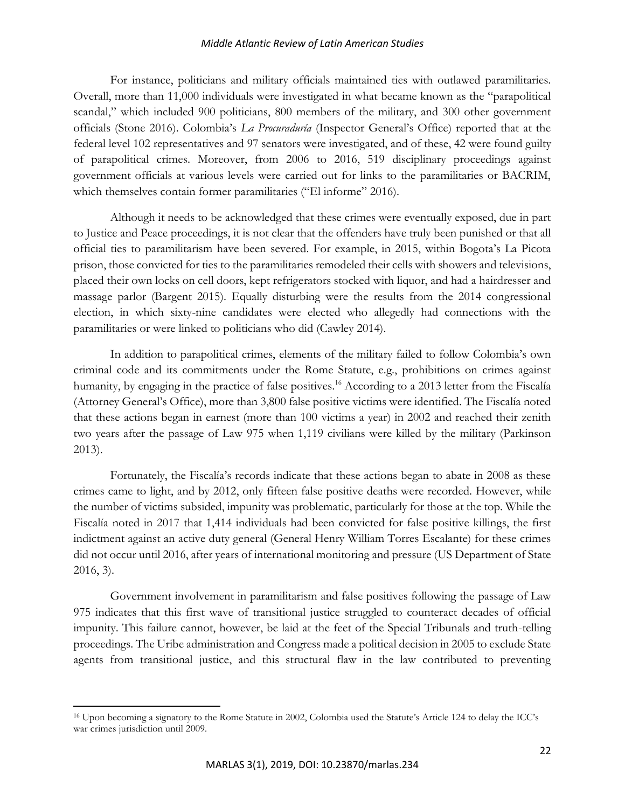For instance, politicians and military officials maintained ties with outlawed paramilitaries. Overall, more than 11,000 individuals were investigated in what became known as the "parapolitical scandal," which included 900 politicians, 800 members of the military, and 300 other government officials (Stone 2016). Colombia's *La Procuraduría* (Inspector General's Office) reported that at the federal level 102 representatives and 97 senators were investigated, and of these, 42 were found guilty of parapolitical crimes. Moreover, from 2006 to 2016, 519 disciplinary proceedings against government officials at various levels were carried out for links to the paramilitaries or BACRIM, which themselves contain former paramilitaries ("El informe" 2016).

Although it needs to be acknowledged that these crimes were eventually exposed, due in part to Justice and Peace proceedings, it is not clear that the offenders have truly been punished or that all official ties to paramilitarism have been severed. For example, in 2015, within Bogota's La Picota prison, those convicted for ties to the paramilitaries remodeled their cells with showers and televisions, placed their own locks on cell doors, kept refrigerators stocked with liquor, and had a hairdresser and massage parlor (Bargent 2015). Equally disturbing were the results from the 2014 congressional election, in which sixty-nine candidates were elected who allegedly had connections with the paramilitaries or were linked to politicians who did (Cawley 2014).

In addition to parapolitical crimes, elements of the military failed to follow Colombia's own criminal code and its commitments under the Rome Statute, e.g., prohibitions on crimes against humanity, by engaging in the practice of false positives.<sup>16</sup> According to a 2013 letter from the Fiscalía (Attorney General's Office), more than 3,800 false positive victims were identified. The Fiscalía noted that these actions began in earnest (more than 100 victims a year) in 2002 and reached their zenith two years after the passage of Law 975 when 1,119 civilians were killed by the military (Parkinson 2013).

Fortunately, the Fiscalía's records indicate that these actions began to abate in 2008 as these crimes came to light, and by 2012, only fifteen false positive deaths were recorded. However, while the number of victims subsided, impunity was problematic, particularly for those at the top. While the Fiscalía noted in 2017 that 1,414 individuals had been convicted for false positive killings, the first indictment against an active duty general (General Henry William Torres Escalante) for these crimes did not occur until 2016, after years of international monitoring and pressure (US Department of State 2016, 3).

Government involvement in paramilitarism and false positives following the passage of Law 975 indicates that this first wave of transitional justice struggled to counteract decades of official impunity. This failure cannot, however, be laid at the feet of the Special Tribunals and truth-telling proceedings. The Uribe administration and Congress made a political decision in 2005 to exclude State agents from transitional justice, and this structural flaw in the law contributed to preventing

<sup>16</sup> Upon becoming a signatory to the Rome Statute in 2002, Colombia used the Statute's Article 124 to delay the ICC's war crimes jurisdiction until 2009.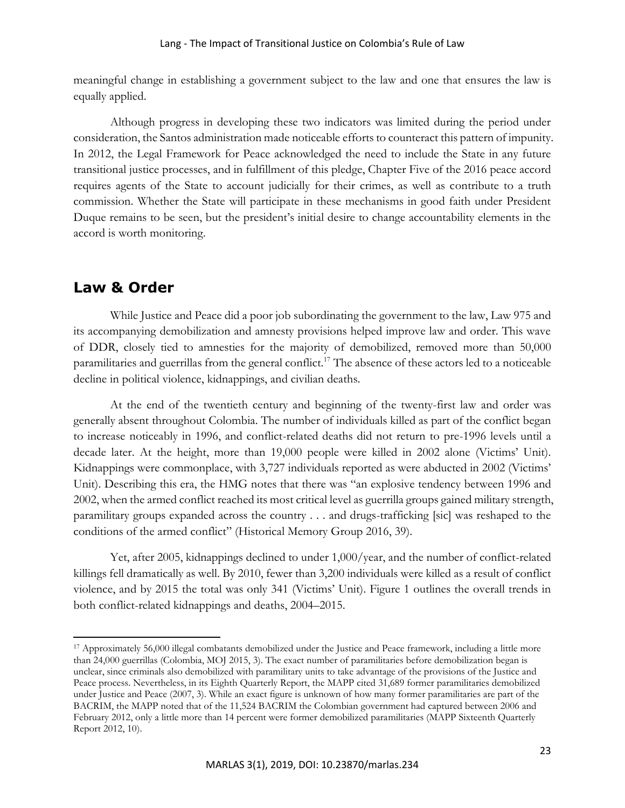meaningful change in establishing a government subject to the law and one that ensures the law is equally applied.

Although progress in developing these two indicators was limited during the period under consideration, the Santos administration made noticeable efforts to counteract this pattern of impunity. In 2012, the Legal Framework for Peace acknowledged the need to include the State in any future transitional justice processes, and in fulfillment of this pledge, Chapter Five of the 2016 peace accord requires agents of the State to account judicially for their crimes, as well as contribute to a truth commission. Whether the State will participate in these mechanisms in good faith under President Duque remains to be seen, but the president's initial desire to change accountability elements in the accord is worth monitoring.

# **Law & Order**

 $\overline{\phantom{a}}$ 

While Justice and Peace did a poor job subordinating the government to the law, Law 975 and its accompanying demobilization and amnesty provisions helped improve law and order. This wave of DDR, closely tied to amnesties for the majority of demobilized, removed more than 50,000 paramilitaries and guerrillas from the general conflict.<sup>17</sup> The absence of these actors led to a noticeable decline in political violence, kidnappings, and civilian deaths.

At the end of the twentieth century and beginning of the twenty-first law and order was generally absent throughout Colombia. The number of individuals killed as part of the conflict began to increase noticeably in 1996, and conflict-related deaths did not return to pre-1996 levels until a decade later. At the height, more than 19,000 people were killed in 2002 alone (Victims' Unit). Kidnappings were commonplace, with 3,727 individuals reported as were abducted in 2002 (Victims' Unit). Describing this era, the HMG notes that there was "an explosive tendency between 1996 and 2002, when the armed conflict reached its most critical level as guerrilla groups gained military strength, paramilitary groups expanded across the country . . . and drugs-trafficking [sic] was reshaped to the conditions of the armed conflict" (Historical Memory Group 2016, 39).

Yet, after 2005, kidnappings declined to under 1,000/year, and the number of conflict-related killings fell dramatically as well. By 2010, fewer than 3,200 individuals were killed as a result of conflict violence, and by 2015 the total was only 341 (Victims' Unit). Figure 1 outlines the overall trends in both conflict-related kidnappings and deaths, 2004–2015.

<sup>17</sup> Approximately 56,000 illegal combatants demobilized under the Justice and Peace framework, including a little more than 24,000 guerrillas (Colombia, MOJ 2015, 3). The exact number of paramilitaries before demobilization began is unclear, since criminals also demobilized with paramilitary units to take advantage of the provisions of the Justice and Peace process. Nevertheless, in its Eighth Quarterly Report, the MAPP cited 31,689 former paramilitaries demobilized under Justice and Peace (2007, 3). While an exact figure is unknown of how many former paramilitaries are part of the BACRIM, the MAPP noted that of the 11,524 BACRIM the Colombian government had captured between 2006 and February 2012, only a little more than 14 percent were former demobilized paramilitaries (MAPP Sixteenth Quarterly Report 2012, 10).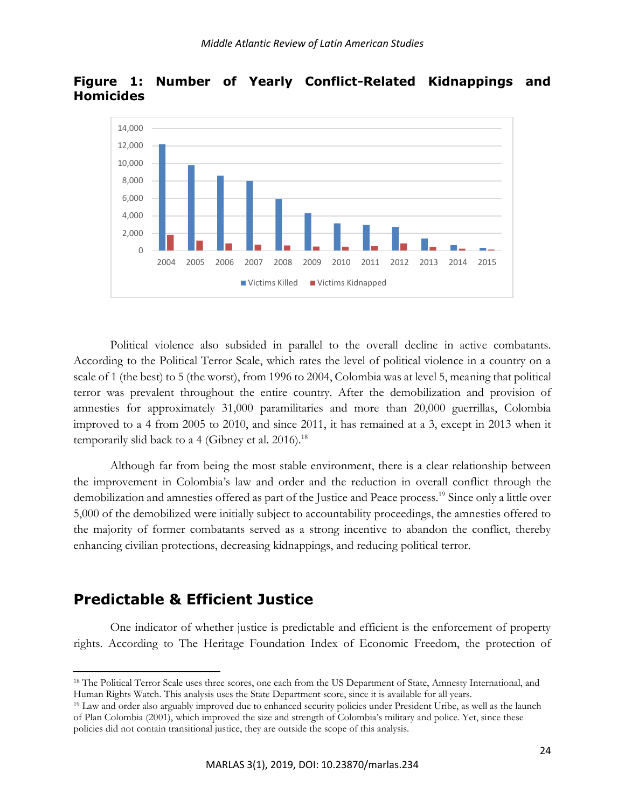

**Figure 1: Number of Yearly Conflict-Related Kidnappings and Homicides**

Political violence also subsided in parallel to the overall decline in active combatants. According to the Political Terror Scale, which rates the level of political violence in a country on a scale of 1 (the best) to 5 (the worst), from 1996 to 2004, Colombia was at level 5, meaning that political terror was prevalent throughout the entire country. After the demobilization and provision of amnesties for approximately 31,000 paramilitaries and more than 20,000 guerrillas, Colombia improved to a 4 from 2005 to 2010, and since 2011, it has remained at a 3, except in 2013 when it temporarily slid back to a 4 (Gibney et al. 2016).<sup>18</sup>

Although far from being the most stable environment, there is a clear relationship between the improvement in Colombia's law and order and the reduction in overall conflict through the demobilization and amnesties offered as part of the Justice and Peace process.<sup>19</sup> Since only a little over 5,000 of the demobilized were initially subject to accountability proceedings, the amnesties offered to the majority of former combatants served as a strong incentive to abandon the conflict, thereby enhancing civilian protections, decreasing kidnappings, and reducing political terror.

# **Predictable & Efficient Justice**

 $\overline{\phantom{a}}$ 

One indicator of whether justice is predictable and efficient is the enforcement of property rights. According to The Heritage Foundation Index of Economic Freedom, the protection of

<sup>18</sup> The Political Terror Scale uses three scores, one each from the US Department of State, Amnesty International, and Human Rights Watch. This analysis uses the State Department score, since it is available for all years.

<sup>19</sup> Law and order also arguably improved due to enhanced security policies under President Uribe, as well as the launch of Plan Colombia (2001), which improved the size and strength of Colombia's military and police. Yet, since these policies did not contain transitional justice, they are outside the scope of this analysis.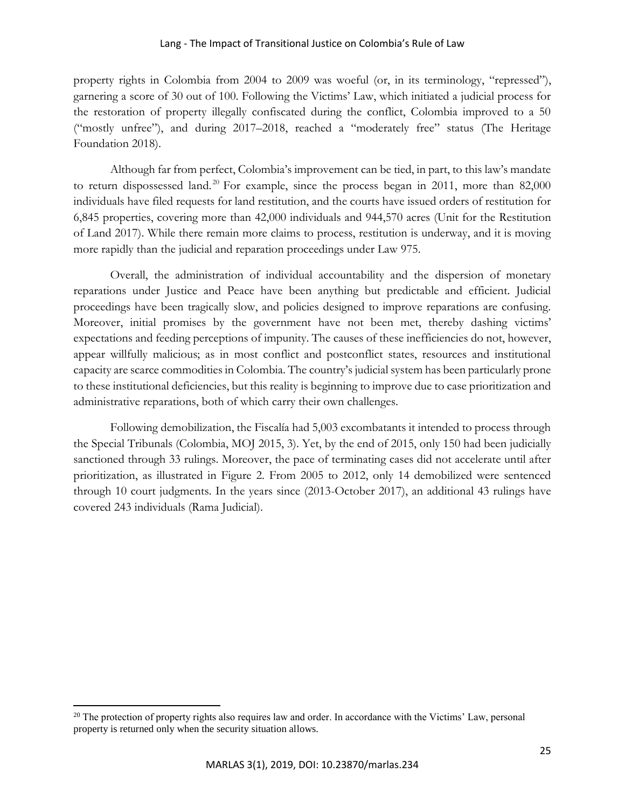property rights in Colombia from 2004 to 2009 was woeful (or, in its terminology, "repressed"), garnering a score of 30 out of 100. Following the Victims' Law, which initiated a judicial process for the restoration of property illegally confiscated during the conflict, Colombia improved to a 50 ("mostly unfree"), and during 2017–2018, reached a "moderately free" status (The Heritage Foundation 2018).

Although far from perfect, Colombia's improvement can be tied, in part, to this law's mandate to return dispossessed land.<sup>20</sup> For example, since the process began in 2011, more than  $82,000$ individuals have filed requests for land restitution, and the courts have issued orders of restitution for 6,845 properties, covering more than 42,000 individuals and 944,570 acres (Unit for the Restitution of Land 2017). While there remain more claims to process, restitution is underway, and it is moving more rapidly than the judicial and reparation proceedings under Law 975.

Overall, the administration of individual accountability and the dispersion of monetary reparations under Justice and Peace have been anything but predictable and efficient. Judicial proceedings have been tragically slow, and policies designed to improve reparations are confusing. Moreover, initial promises by the government have not been met, thereby dashing victims' expectations and feeding perceptions of impunity. The causes of these inefficiencies do not, however, appear willfully malicious; as in most conflict and postconflict states, resources and institutional capacity are scarce commodities in Colombia. The country's judicial system has been particularly prone to these institutional deficiencies, but this reality is beginning to improve due to case prioritization and administrative reparations, both of which carry their own challenges.

Following demobilization, the Fiscalía had 5,003 excombatants it intended to process through the Special Tribunals (Colombia, MOJ 2015, 3). Yet, by the end of 2015, only 150 had been judicially sanctioned through 33 rulings. Moreover, the pace of terminating cases did not accelerate until after prioritization, as illustrated in Figure 2. From 2005 to 2012, only 14 demobilized were sentenced through 10 court judgments. In the years since (2013-October 2017), an additional 43 rulings have covered 243 individuals (Rama Judicial).

 $\overline{a}$ 

<sup>&</sup>lt;sup>20</sup> The protection of property rights also requires law and order. In accordance with the Victims' Law, personal property is returned only when the security situation allows.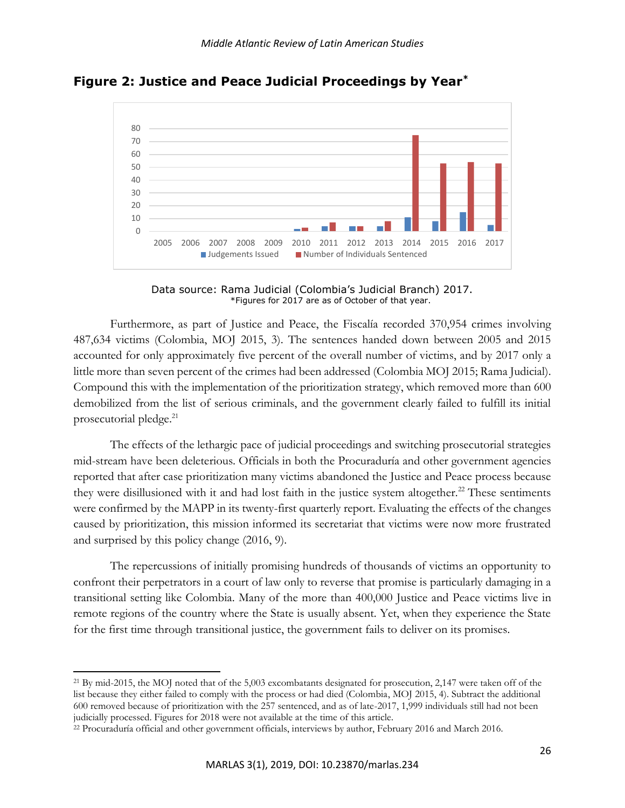

**Figure 2: Justice and Peace Judicial Proceedings by Year\***

Data source: Rama Judicial (Colombia's Judicial Branch) 2017. \*Figures for 2017 are as of October of that year.

Furthermore, as part of Justice and Peace, the Fiscalía recorded 370,954 crimes involving 487,634 victims (Colombia, MOJ 2015, 3). The sentences handed down between 2005 and 2015 accounted for only approximately five percent of the overall number of victims, and by 2017 only a little more than seven percent of the crimes had been addressed (Colombia MOJ 2015; Rama Judicial). Compound this with the implementation of the prioritization strategy, which removed more than 600 demobilized from the list of serious criminals, and the government clearly failed to fulfill its initial prosecutorial pledge.<sup>21</sup>

The effects of the lethargic pace of judicial proceedings and switching prosecutorial strategies mid-stream have been deleterious. Officials in both the Procuraduría and other government agencies reported that after case prioritization many victims abandoned the Justice and Peace process because they were disillusioned with it and had lost faith in the justice system altogether.<sup>22</sup> These sentiments were confirmed by the MAPP in its twenty-first quarterly report. Evaluating the effects of the changes caused by prioritization, this mission informed its secretariat that victims were now more frustrated and surprised by this policy change (2016, 9).

The repercussions of initially promising hundreds of thousands of victims an opportunity to confront their perpetrators in a court of law only to reverse that promise is particularly damaging in a transitional setting like Colombia. Many of the more than 400,000 Justice and Peace victims live in remote regions of the country where the State is usually absent. Yet, when they experience the State for the first time through transitional justice, the government fails to deliver on its promises.

<sup>21</sup> By mid-2015, the MOJ noted that of the 5,003 excombatants designated for prosecution, 2,147 were taken off of the list because they either failed to comply with the process or had died (Colombia, MOJ 2015, 4). Subtract the additional 600 removed because of prioritization with the 257 sentenced, and as of late-2017, 1,999 individuals still had not been judicially processed. Figures for 2018 were not available at the time of this article.

<sup>22</sup> Procuraduría official and other government officials, interviews by author, February 2016 and March 2016.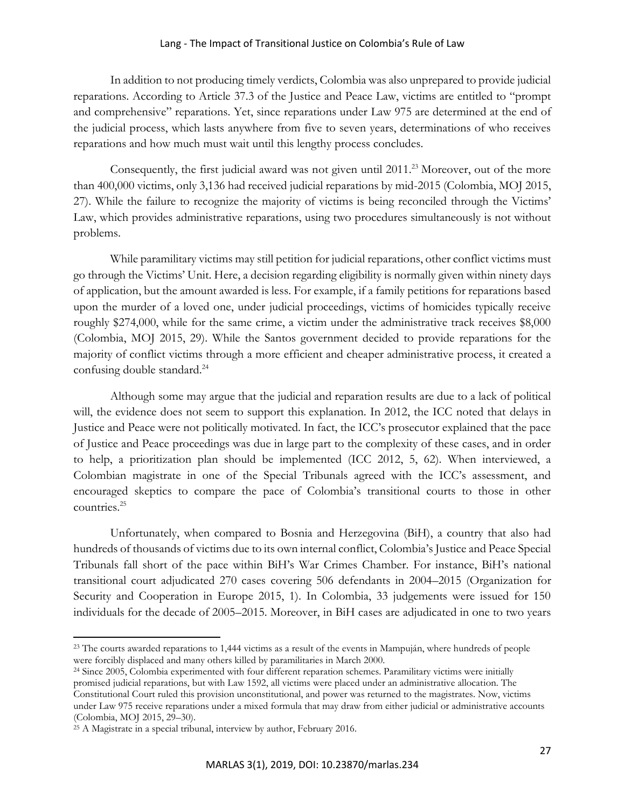In addition to not producing timely verdicts, Colombia was also unprepared to provide judicial reparations. According to Article 37.3 of the Justice and Peace Law, victims are entitled to "prompt and comprehensive" reparations. Yet, since reparations under Law 975 are determined at the end of the judicial process, which lasts anywhere from five to seven years, determinations of who receives reparations and how much must wait until this lengthy process concludes.

Consequently, the first judicial award was not given until  $2011<sup>23</sup>$  Moreover, out of the more than 400,000 victims, only 3,136 had received judicial reparations by mid-2015 (Colombia, MOJ 2015, 27). While the failure to recognize the majority of victims is being reconciled through the Victims' Law, which provides administrative reparations, using two procedures simultaneously is not without problems.

While paramilitary victims may still petition for judicial reparations, other conflict victims must go through the Victims' Unit. Here, a decision regarding eligibility is normally given within ninety days of application, but the amount awarded is less. For example, if a family petitions for reparations based upon the murder of a loved one, under judicial proceedings, victims of homicides typically receive roughly \$274,000, while for the same crime, a victim under the administrative track receives \$8,000 (Colombia, MOJ 2015, 29). While the Santos government decided to provide reparations for the majority of conflict victims through a more efficient and cheaper administrative process, it created a confusing double standard.<sup>24</sup>

Although some may argue that the judicial and reparation results are due to a lack of political will, the evidence does not seem to support this explanation. In 2012, the ICC noted that delays in Justice and Peace were not politically motivated. In fact, the ICC's prosecutor explained that the pace of Justice and Peace proceedings was due in large part to the complexity of these cases, and in order to help, a prioritization plan should be implemented (ICC 2012, 5, 62). When interviewed, a Colombian magistrate in one of the Special Tribunals agreed with the ICC's assessment, and encouraged skeptics to compare the pace of Colombia's transitional courts to those in other countries.<sup>25</sup>

Unfortunately, when compared to Bosnia and Herzegovina (BiH), a country that also had hundreds of thousands of victims due to its own internal conflict, Colombia's Justice and Peace Special Tribunals fall short of the pace within BiH's War Crimes Chamber. For instance, BiH's national transitional court adjudicated 270 cases covering 506 defendants in 2004–2015 (Organization for Security and Cooperation in Europe 2015, 1). In Colombia, 33 judgements were issued for 150 individuals for the decade of 2005–2015. Moreover, in BiH cases are adjudicated in one to two years

<sup>23</sup> The courts awarded reparations to 1,444 victims as a result of the events in Mampuján, where hundreds of people were forcibly displaced and many others killed by paramilitaries in March 2000.

<sup>&</sup>lt;sup>24</sup> Since 2005, Colombia experimented with four different reparation schemes. Paramilitary victims were initially promised judicial reparations, but with Law 1592, all victims were placed under an administrative allocation. The Constitutional Court ruled this provision unconstitutional, and power was returned to the magistrates. Now, victims under Law 975 receive reparations under a mixed formula that may draw from either judicial or administrative accounts (Colombia, MOJ 2015, 29–30).

<sup>&</sup>lt;sup>25</sup> A Magistrate in a special tribunal, interview by author, February 2016.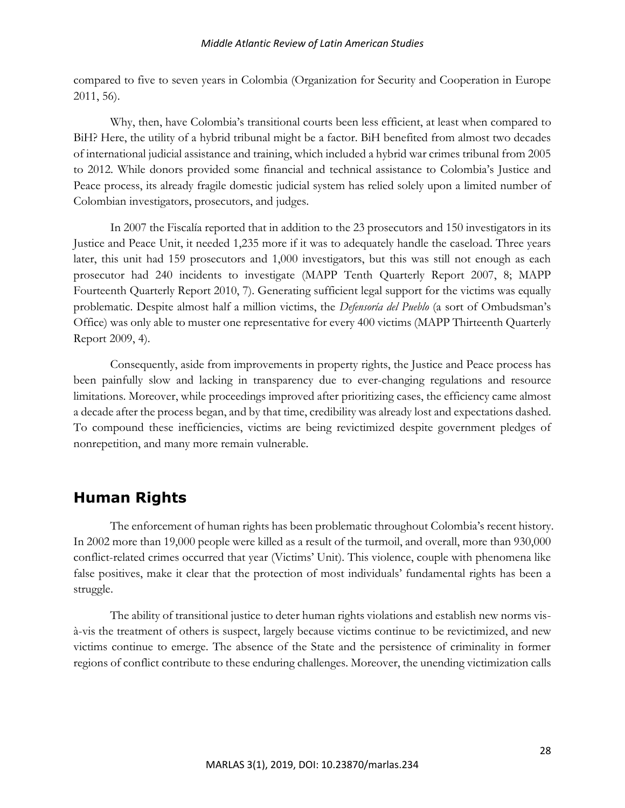compared to five to seven years in Colombia (Organization for Security and Cooperation in Europe 2011, 56).

Why, then, have Colombia's transitional courts been less efficient, at least when compared to BiH? Here, the utility of a hybrid tribunal might be a factor. BiH benefited from almost two decades of international judicial assistance and training, which included a hybrid war crimes tribunal from 2005 to 2012. While donors provided some financial and technical assistance to Colombia's Justice and Peace process, its already fragile domestic judicial system has relied solely upon a limited number of Colombian investigators, prosecutors, and judges.

In 2007 the Fiscalía reported that in addition to the 23 prosecutors and 150 investigators in its Justice and Peace Unit, it needed 1,235 more if it was to adequately handle the caseload. Three years later, this unit had 159 prosecutors and 1,000 investigators, but this was still not enough as each prosecutor had 240 incidents to investigate (MAPP Tenth Quarterly Report 2007, 8; MAPP Fourteenth Quarterly Report 2010, 7). Generating sufficient legal support for the victims was equally problematic. Despite almost half a million victims, the *Defensoría del Pueblo* (a sort of Ombudsman's Office) was only able to muster one representative for every 400 victims (MAPP Thirteenth Quarterly Report 2009, 4).

Consequently, aside from improvements in property rights, the Justice and Peace process has been painfully slow and lacking in transparency due to ever-changing regulations and resource limitations. Moreover, while proceedings improved after prioritizing cases, the efficiency came almost a decade after the process began, and by that time, credibility was already lost and expectations dashed. To compound these inefficiencies, victims are being revictimized despite government pledges of nonrepetition, and many more remain vulnerable.

# **Human Rights**

The enforcement of human rights has been problematic throughout Colombia's recent history. In 2002 more than 19,000 people were killed as a result of the turmoil, and overall, more than 930,000 conflict-related crimes occurred that year (Victims' Unit). This violence, couple with phenomena like false positives, make it clear that the protection of most individuals' fundamental rights has been a struggle.

The ability of transitional justice to deter human rights violations and establish new norms visà-vis the treatment of others is suspect, largely because victims continue to be revictimized, and new victims continue to emerge. The absence of the State and the persistence of criminality in former regions of conflict contribute to these enduring challenges. Moreover, the unending victimization calls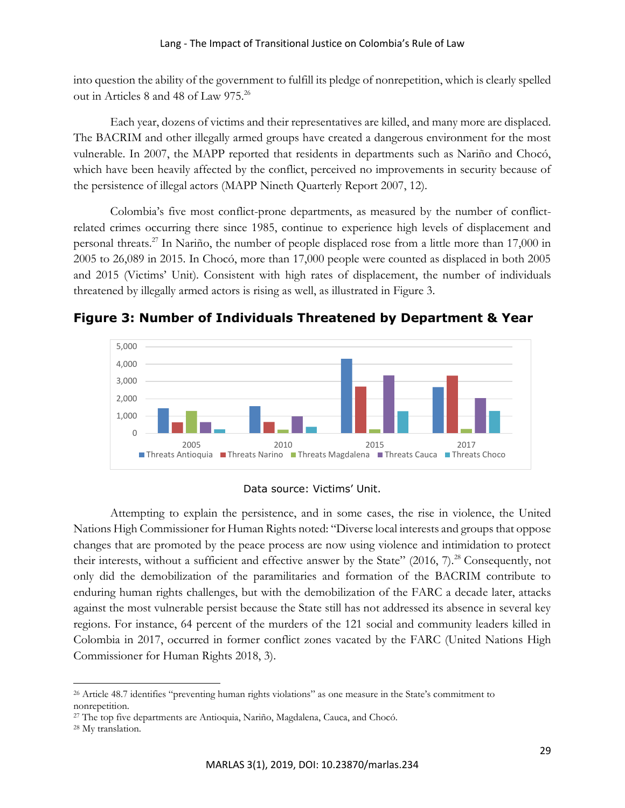into question the ability of the government to fulfill its pledge of nonrepetition, which is clearly spelled out in Articles 8 and 48 of Law 975.<sup>26</sup>

Each year, dozens of victims and their representatives are killed, and many more are displaced. The BACRIM and other illegally armed groups have created a dangerous environment for the most vulnerable. In 2007, the MAPP reported that residents in departments such as Nariño and Chocó, which have been heavily affected by the conflict, perceived no improvements in security because of the persistence of illegal actors (MAPP Nineth Quarterly Report 2007, 12).

Colombia's five most conflict-prone departments, as measured by the number of conflictrelated crimes occurring there since 1985, continue to experience high levels of displacement and personal threats.<sup>27</sup> In Nariño, the number of people displaced rose from a little more than 17,000 in 2005 to 26,089 in 2015. In Chocó, more than 17,000 people were counted as displaced in both 2005 and 2015 (Victims' Unit). Consistent with high rates of displacement, the number of individuals threatened by illegally armed actors is rising as well, as illustrated in Figure 3.



**Figure 3: Number of Individuals Threatened by Department & Year**

# Data source: Victims' Unit.

Attempting to explain the persistence, and in some cases, the rise in violence, the United Nations High Commissioner for Human Rights noted: "Diverse local interests and groups that oppose changes that are promoted by the peace process are now using violence and intimidation to protect their interests, without a sufficient and effective answer by the State" (2016, 7).<sup>28</sup> Consequently, not only did the demobilization of the paramilitaries and formation of the BACRIM contribute to enduring human rights challenges, but with the demobilization of the FARC a decade later, attacks against the most vulnerable persist because the State still has not addressed its absence in several key regions. For instance, 64 percent of the murders of the 121 social and community leaders killed in Colombia in 2017, occurred in former conflict zones vacated by the FARC (United Nations High Commissioner for Human Rights 2018, 3).

<sup>26</sup> Article 48.7 identifies "preventing human rights violations" as one measure in the State's commitment to nonrepetition.

<sup>27</sup> The top five departments are Antioquia, Nariño, Magdalena, Cauca, and Chocó.

<sup>28</sup> My translation.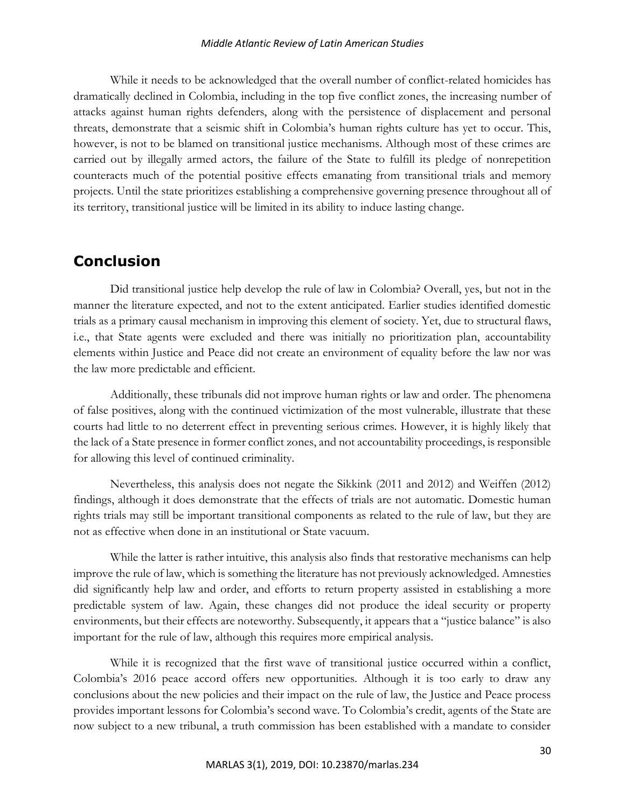While it needs to be acknowledged that the overall number of conflict-related homicides has dramatically declined in Colombia, including in the top five conflict zones, the increasing number of attacks against human rights defenders, along with the persistence of displacement and personal threats, demonstrate that a seismic shift in Colombia's human rights culture has yet to occur. This, however, is not to be blamed on transitional justice mechanisms. Although most of these crimes are carried out by illegally armed actors, the failure of the State to fulfill its pledge of nonrepetition counteracts much of the potential positive effects emanating from transitional trials and memory projects. Until the state prioritizes establishing a comprehensive governing presence throughout all of its territory, transitional justice will be limited in its ability to induce lasting change.

# **Conclusion**

Did transitional justice help develop the rule of law in Colombia? Overall, yes, but not in the manner the literature expected, and not to the extent anticipated. Earlier studies identified domestic trials as a primary causal mechanism in improving this element of society. Yet, due to structural flaws, i.e., that State agents were excluded and there was initially no prioritization plan, accountability elements within Justice and Peace did not create an environment of equality before the law nor was the law more predictable and efficient.

Additionally, these tribunals did not improve human rights or law and order. The phenomena of false positives, along with the continued victimization of the most vulnerable, illustrate that these courts had little to no deterrent effect in preventing serious crimes. However, it is highly likely that the lack of a State presence in former conflict zones, and not accountability proceedings, is responsible for allowing this level of continued criminality.

Nevertheless, this analysis does not negate the Sikkink (2011 and 2012) and Weiffen (2012) findings, although it does demonstrate that the effects of trials are not automatic. Domestic human rights trials may still be important transitional components as related to the rule of law, but they are not as effective when done in an institutional or State vacuum.

While the latter is rather intuitive, this analysis also finds that restorative mechanisms can help improve the rule of law, which is something the literature has not previously acknowledged. Amnesties did significantly help law and order, and efforts to return property assisted in establishing a more predictable system of law. Again, these changes did not produce the ideal security or property environments, but their effects are noteworthy. Subsequently, it appears that a "justice balance" is also important for the rule of law, although this requires more empirical analysis.

While it is recognized that the first wave of transitional justice occurred within a conflict, Colombia's 2016 peace accord offers new opportunities. Although it is too early to draw any conclusions about the new policies and their impact on the rule of law, the Justice and Peace process provides important lessons for Colombia's second wave. To Colombia's credit, agents of the State are now subject to a new tribunal, a truth commission has been established with a mandate to consider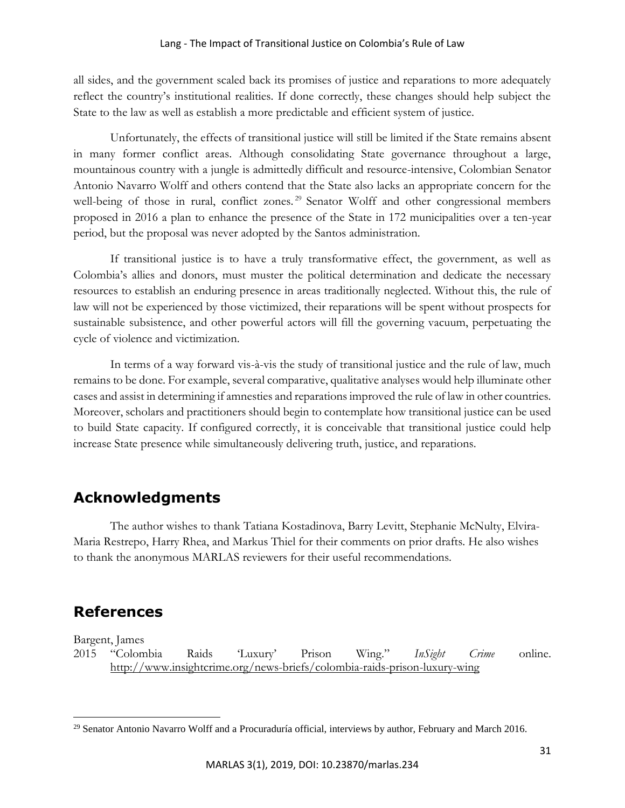all sides, and the government scaled back its promises of justice and reparations to more adequately reflect the country's institutional realities. If done correctly, these changes should help subject the State to the law as well as establish a more predictable and efficient system of justice.

Unfortunately, the effects of transitional justice will still be limited if the State remains absent in many former conflict areas. Although consolidating State governance throughout a large, mountainous country with a jungle is admittedly difficult and resource-intensive, Colombian Senator Antonio Navarro Wolff and others contend that the State also lacks an appropriate concern for the well-being of those in rural, conflict zones.<sup>29</sup> Senator Wolff and other congressional members proposed in 2016 a plan to enhance the presence of the State in 172 municipalities over a ten-year period, but the proposal was never adopted by the Santos administration.

If transitional justice is to have a truly transformative effect, the government, as well as Colombia's allies and donors, must muster the political determination and dedicate the necessary resources to establish an enduring presence in areas traditionally neglected. Without this, the rule of law will not be experienced by those victimized, their reparations will be spent without prospects for sustainable subsistence, and other powerful actors will fill the governing vacuum, perpetuating the cycle of violence and victimization.

In terms of a way forward vis-à-vis the study of transitional justice and the rule of law, much remains to be done. For example, several comparative, qualitative analyses would help illuminate other cases and assist in determining if amnesties and reparations improved the rule of law in other countries. Moreover, scholars and practitioners should begin to contemplate how transitional justice can be used to build State capacity. If configured correctly, it is conceivable that transitional justice could help increase State presence while simultaneously delivering truth, justice, and reparations.

# **Acknowledgments**

The author wishes to thank Tatiana Kostadinova, Barry Levitt, Stephanie McNulty, Elvira-Maria Restrepo, Harry Rhea, and Markus Thiel for their comments on prior drafts. He also wishes to thank the anonymous MARLAS reviewers for their useful recommendations.

# **References**

Bargent, James

 $\overline{\phantom{a}}$ 

2015 "Colombia Raids 'Luxury' Prison Wing." *InSight Crime* online. <http://www.insightcrime.org/news-briefs/colombia-raids-prison-luxury-wing>

<sup>&</sup>lt;sup>29</sup> Senator Antonio Navarro Wolff and a Procuraduría official, interviews by author, February and March 2016.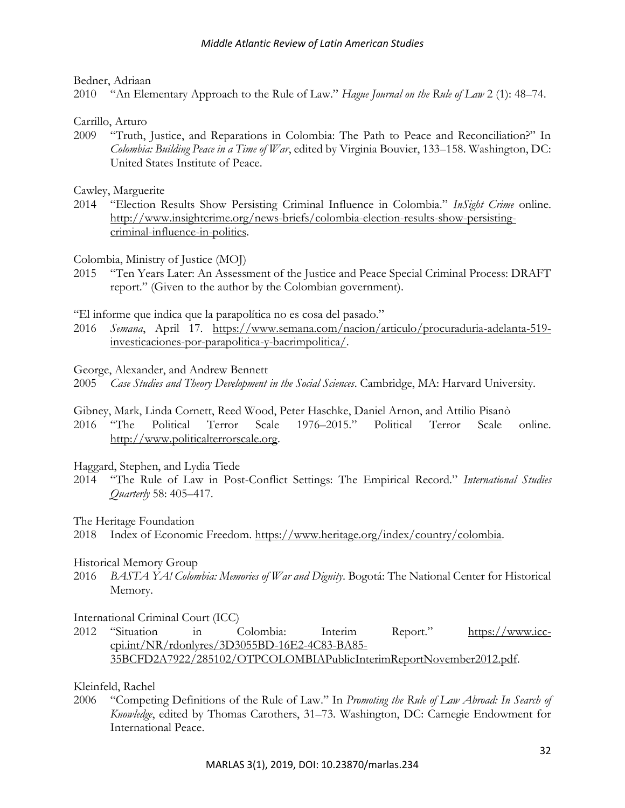Bedner, Adriaan

2010 "An Elementary Approach to the Rule of Law." *Hague Journal on the Rule of Law* 2 (1): 48–74.

Carrillo, Arturo

2009 "Truth, Justice, and Reparations in Colombia: The Path to Peace and Reconciliation?" In *Colombia: Building Peace in a Time of War*, edited by Virginia Bouvier, 133–158. Washington, DC: United States Institute of Peace.

Cawley, Marguerite

2014 "Election Results Show Persisting Criminal Influence in Colombia." *InSight Crime* online. [http://www.insightcrime.org/news-briefs/colombia-election-results-show-persisting](http://www.insightcrime.org/news-briefs/colombia-election-results-show-persisting-criminal-influence-in-politics)[criminal-influence-in-politics.](http://www.insightcrime.org/news-briefs/colombia-election-results-show-persisting-criminal-influence-in-politics)

Colombia, Ministry of Justice (MOJ)

2015 "Ten Years Later: An Assessment of the Justice and Peace Special Criminal Process: DRAFT report." (Given to the author by the Colombian government).

"El informe que indica que la parapolítica no es cosa del pasado."

2016 *Semana*, April 17. [https://www.semana.com/nacion/articulo/procuraduria-adelanta-519](https://www.semana.com/nacion/articulo/procuraduria-adelanta-519-investicaciones-por-parapolitica-y-bacrimpolitica/) [investicaciones-por-parapolitica-y-bacrimpolitica/.](https://www.semana.com/nacion/articulo/procuraduria-adelanta-519-investicaciones-por-parapolitica-y-bacrimpolitica/)

George, Alexander, and Andrew Bennett

2005 *Case Studies and Theory Development in the Social Sciences*. Cambridge, MA: Harvard University.

Gibney, Mark, Linda Cornett, Reed Wood, Peter Haschke, Daniel Arnon, and Attilio Pisanò

2016 "The Political Terror Scale 1976–2015." Political Terror Scale online. [http://www.politicalterrorscale.org.](http://www.politicalterrorscale.org/)

Haggard, Stephen, and Lydia Tiede

2014 "The Rule of Law in Post-Conflict Settings: The Empirical Record." *International Studies Quarterly* 58: 405–417.

The Heritage Foundation

2018 Index of Economic Freedom. [https://www.heritage.org/index/country/colombia.](https://www.heritage.org/index/country/colombia)

# Historical Memory Group

2016 *BASTA YA! Colombia: Memories of War and Dignity*. Bogotá: The National Center for Historical Memory.

International Criminal Court (ICC)

2012 "Situation in Colombia: Interim Report." [https://www.icc](https://www.icc-cpi.int/NR/rdonlyres/3D3055BD-16E2-4C83-BA85-35BCFD2A7922/285102/OTPCOLOMBIAPublicInterimReportNovember2012.pdf)[cpi.int/NR/rdonlyres/3D3055BD-16E2-4C83-BA85-](https://www.icc-cpi.int/NR/rdonlyres/3D3055BD-16E2-4C83-BA85-35BCFD2A7922/285102/OTPCOLOMBIAPublicInterimReportNovember2012.pdf) [35BCFD2A7922/285102/OTPCOLOMBIAPublicInterimReportNovember2012.pdf.](https://www.icc-cpi.int/NR/rdonlyres/3D3055BD-16E2-4C83-BA85-35BCFD2A7922/285102/OTPCOLOMBIAPublicInterimReportNovember2012.pdf)

Kleinfeld, Rachel

2006 "Competing Definitions of the Rule of Law." In *Promoting the Rule of Law Abroad: In Search of Knowledge*, edited by Thomas Carothers, 31–73. Washington, DC: Carnegie Endowment for International Peace.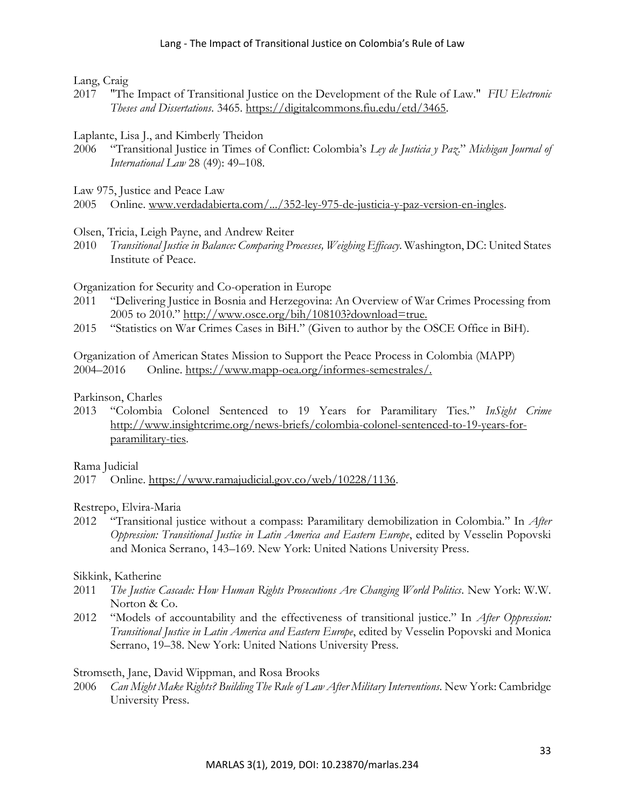Lang, Craig

2017 "The Impact of Transitional Justice on the Development of the Rule of Law." *FIU Electronic Theses and Dissertations*. 3465. [https://digitalcommons.fiu.edu/etd/3465.](https://digitalcommons.fiu.edu/etd/3465)

## Laplante, Lisa J., and Kimberly Theidon

2006 "Transitional Justice in Times of Conflict: Colombia's *Ley de Justicia y Paz*." *Michigan Journal of International Law* 28 (49): 49–108.

Law 975, Justice and Peace Law

2005 Online. [www.verdadabierta.com/.../352-ley-975-de-justicia-y-paz-version-en-ingles.](file:///C:/Users/Mary%20Roof/Documents/MARLAS/www.verdadabierta.com/.../352-ley-975-de-justicia-y-paz-version-en-ingles)

## Olsen, Tricia, Leigh Payne, and Andrew Reiter

2010 *Transitional Justice in Balance: Comparing Processes, Weighing Efficacy*. Washington, DC: United States Institute of Peace.

Organization for Security and Co-operation in Europe

- 2011 "Delivering Justice in Bosnia and Herzegovina: An Overview of War Crimes Processing from 2005 to 2010." [http://www.osce.org/bih/108103?download=true.](http://www.osce.org/bih/108103?download=true)
- 2015 "Statistics on War Crimes Cases in BiH." (Given to author by the OSCE Office in BiH).

Organization of American States Mission to Support the Peace Process in Colombia (MAPP) 2004–2016 Online. [https://www.mapp-oea.org/informes-semestrales/.](https://www.mapp-oea.org/informes-semestrales/)

### Parkinson, Charles

2013 "Colombia Colonel Sentenced to 19 Years for Paramilitary Ties." *InSight Crime* [http://www.insightcrime.org/news-briefs/colombia-colonel-sentenced-to-19-years-for](http://www.insightcrime.org/news-briefs/colombia-colonel-sentenced-to-19-years-for-paramilitary-ties)[paramilitary-ties.](http://www.insightcrime.org/news-briefs/colombia-colonel-sentenced-to-19-years-for-paramilitary-ties)

Rama Judicial

2017 Online. [https://www.ramajudicial.gov.co/web/10228/1136.](https://www.ramajudicial.gov.co/web/10228/1136)

Restrepo, Elvira-Maria

2012 "Transitional justice without a compass: Paramilitary demobilization in Colombia." In *After*  Oppression: Transitional Justice in Latin America and Eastern Europe, edited by Vesselin Popovski and Monica Serrano, 143–169. New York: United Nations University Press.

### Sikkink, Katherine

- 2011 *The Justice Cascade: How Human Rights Prosecutions Are Changing World Politics*. New York: W.W. Norton & Co.
- 2012 "Models of accountability and the effectiveness of transitional justice." In *After Oppression: Transitional Justice in Latin America and Eastern Europe*, edited by Vesselin Popovski and Monica Serrano, 19–38. New York: United Nations University Press.

## Stromseth, Jane, David Wippman, and Rosa Brooks

2006 *Can Might Make Rights? Building The Rule of Law After Military Interventions*. New York: Cambridge University Press.